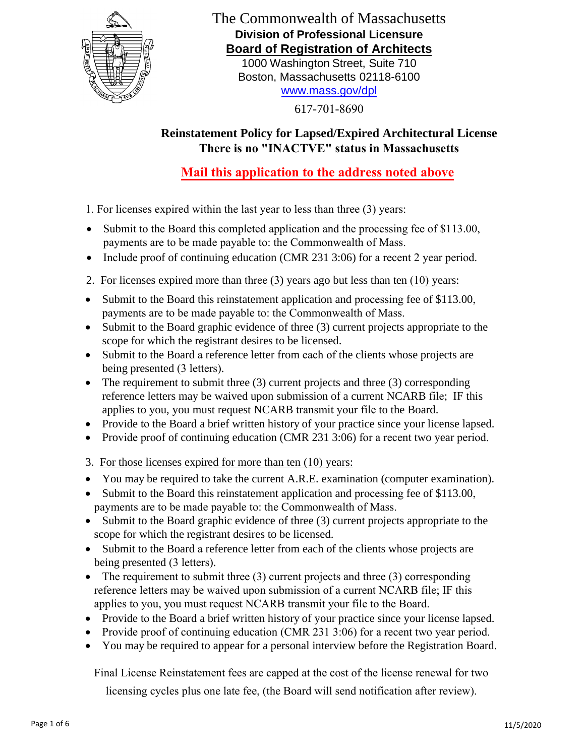

# The Commonwealth of Massachusetts **Division of Professional Licensure Board of Registration of Architects**

1000 Washington Street, Suite 710 Boston, Massachusetts 02118-6100 www.mass.gov/dpl

617-701-8690

# **Reinstatement Polic[y for Lapsed/Expire](http://www.mass.gov/dpl)d Architectural License There is no "INACTVE" status in Massachusetts**

# **Mail this application to the address noted above**

1. For licenses expired within the last year to less than three (3) years:

- Submit to the Board this completed application and the processing fee of \$113.00, payments are to be made payable to: the Commonwealth of Mass.
- Include proof of continuing education (CMR 231 3:06) for a recent 2 year period.
- 2. For licenses expired more than three (3) years ago but less than ten (10) years:
- Submit to the Board this reinstatement application and processing fee of \$113.00, payments are to be made payable to: the Commonwealth of Mass.
- Submit to the Board graphic evidence of three (3) current projects appropriate to the scope for which the registrant desires to be licensed.
- Submit to the Board a reference letter from each of the clients whose projects are being presented (3 letters).
- The requirement to submit three  $(3)$  current projects and three  $(3)$  corresponding reference letters may be waived upon submission of a current NCARB file; IF this applies to you, you must request NCARB transmit your file to the Board.
- Provide to the Board a brief written history of your practice since your license lapsed.
- Provide proof of continuing education (CMR 231 3:06) for a recent two year period.
- 3. For those licenses expired for more than ten (10) years:
- You may be required to take the current A.R.E. examination (computer examination).
- Submit to the Board this reinstatement application and processing fee of \$113.00, payments are to be made payable to: the Commonwealth of Mass.
- Submit to the Board graphic evidence of three (3) current projects appropriate to the scope for which the registrant desires to be licensed.
- Submit to the Board a reference letter from each of the clients whose projects are being presented (3 letters).
- The requirement to submit three  $(3)$  current projects and three  $(3)$  corresponding reference letters may be waived upon submission of a current NCARB file; IF this applies to you, you must request NCARB transmit your file to the Board.
- Provide to the Board a brief written history of your practice since your license lapsed.
- Provide proof of continuing education (CMR 231 3:06) for a recent two year period.
- You may be required to appear for a personal interview before the Registration Board.

Final License Reinstatement fees are capped at the cost of the license renewal for two

licensing cycles plus one late fee, (the Board will send notification after review).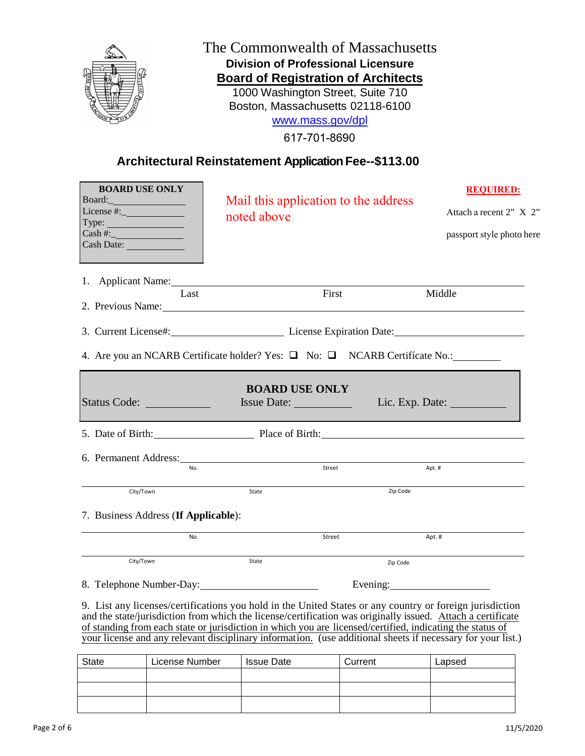

### The Commonwealth of Massachusetts **Division of Professional Licensure Board of Registration of Architects**

1000 Washington Street, Suite 710 Boston, Massachusetts 02118-6100 [www.mass.gov/dpl](http://www.mass.gov/dpl)

617-701-8690

### **Architectural Reinstatement ApplicationFee--\$113.00**

| <b>BOARD USE ONLY</b><br>Board:<br>License $\overline{\#}$ :<br>Type:<br>$\cosh\#:=$<br>Cash Date: The Cash Date:                                                                                                                     | noted above                                          | Mail this application to the address |          | <b>REQUIRED:</b><br>Attach a recent 2" X 2"<br>passport style photo here |  |
|---------------------------------------------------------------------------------------------------------------------------------------------------------------------------------------------------------------------------------------|------------------------------------------------------|--------------------------------------|----------|--------------------------------------------------------------------------|--|
| 1. Applicant Name:<br>Last<br>2. Previous Name:                                                                                                                                                                                       |                                                      | First                                | Middle   |                                                                          |  |
| 3. Current License#: License Expiration Date:<br>4. Are you an NCARB Certificate holder? Yes: $\Box$ No: $\Box$ NCARB Certificate No.:                                                                                                |                                                      |                                      |          |                                                                          |  |
| Status Code:                                                                                                                                                                                                                          | <b>BOARD USE ONLY</b><br>Issue Date: Lic. Exp. Date: |                                      |          |                                                                          |  |
| 5. Date of Birth: Place of Birth: Place of Birth:                                                                                                                                                                                     |                                                      |                                      |          |                                                                          |  |
| 6. Permanent Address: Universe and Address and Address and Address and Address and Address and Address and Address and Address and Address and Address and Address and Address and Address and Address and Address and Address<br>No. |                                                      | Street                               | Apt. #   |                                                                          |  |
| City/Town                                                                                                                                                                                                                             | State                                                |                                      | Zip Code |                                                                          |  |
| 7. Business Address (If Applicable):                                                                                                                                                                                                  |                                                      |                                      |          |                                                                          |  |
| No.                                                                                                                                                                                                                                   |                                                      | Street                               | Apt.#    |                                                                          |  |
| City/Town                                                                                                                                                                                                                             | State                                                |                                      | Zip Code |                                                                          |  |
| 8. Telephone Number-Day:                                                                                                                                                                                                              |                                                      |                                      |          |                                                                          |  |
| 9. List any licenses/certifications you hold in the United States or any country or foreign jurisdiction<br>ta alam titulo (1919) alam kuning kalendar kalendar yang berada dalam kalendar dan berada dalam kalendar dan m            |                                                      |                                      |          |                                                                          |  |

and the state/jurisdiction from which the license/certification was originally issued. Attach a certificate of standing from each state or jurisdiction in which you are licensed/certified, indicating the status of your license and any relevant disciplinary information. (use additional sheets if necessary for your list.)

| <b>State</b> | License Number | <b>Issue Date</b> | Current | Lapsed |
|--------------|----------------|-------------------|---------|--------|
|              |                |                   |         |        |
|              |                |                   |         |        |
|              |                |                   |         |        |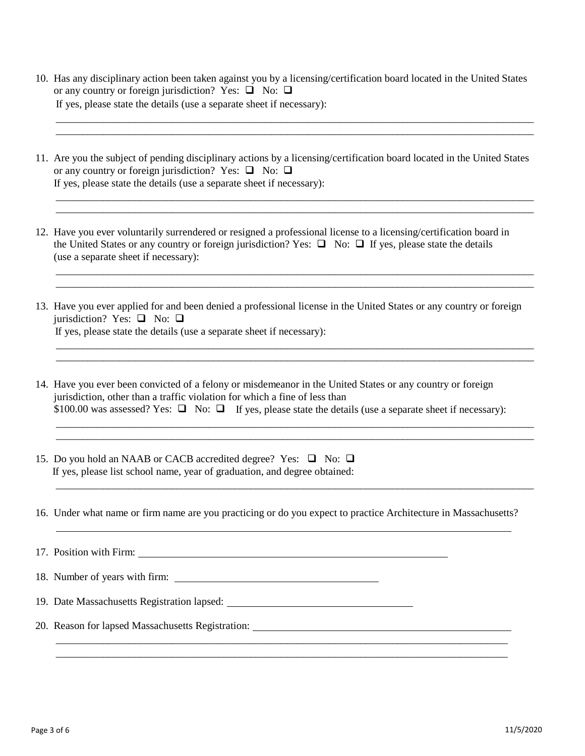| 10. Has any disciplinary action been taken against you by a licensing/certification board located in the United States |
|------------------------------------------------------------------------------------------------------------------------|
| or any country or foreign jurisdiction? Yes: $\Box$ No: $\Box$                                                         |
| If yes, please state the details (use a separate sheet if necessary):                                                  |

\_\_\_\_\_\_\_\_\_\_\_\_\_\_\_\_\_\_\_\_\_\_\_\_\_\_\_\_\_\_\_\_\_\_\_\_\_\_\_\_\_\_\_\_\_\_\_\_\_\_\_\_\_\_\_\_\_\_\_\_\_\_\_\_\_\_\_\_\_\_\_\_\_\_\_\_\_\_\_\_\_\_\_\_\_\_\_\_\_\_\_ \_\_\_\_\_\_\_\_\_\_\_\_\_\_\_\_\_\_\_\_\_\_\_\_\_\_\_\_\_\_\_\_\_\_\_\_\_\_\_\_\_\_\_\_\_\_\_\_\_\_\_\_\_\_\_\_\_\_\_\_\_\_\_\_\_\_\_\_\_\_\_\_\_\_\_\_\_\_\_\_\_\_\_\_\_\_\_\_\_\_\_

\_\_\_\_\_\_\_\_\_\_\_\_\_\_\_\_\_\_\_\_\_\_\_\_\_\_\_\_\_\_\_\_\_\_\_\_\_\_\_\_\_\_\_\_\_\_\_\_\_\_\_\_\_\_\_\_\_\_\_\_\_\_\_\_\_\_\_\_\_\_\_\_\_\_\_\_\_\_\_\_\_\_\_\_\_\_\_\_\_\_\_ \_\_\_\_\_\_\_\_\_\_\_\_\_\_\_\_\_\_\_\_\_\_\_\_\_\_\_\_\_\_\_\_\_\_\_\_\_\_\_\_\_\_\_\_\_\_\_\_\_\_\_\_\_\_\_\_\_\_\_\_\_\_\_\_\_\_\_\_\_\_\_\_\_\_\_\_\_\_\_\_\_\_\_\_\_\_\_\_\_\_\_

\_\_\_\_\_\_\_\_\_\_\_\_\_\_\_\_\_\_\_\_\_\_\_\_\_\_\_\_\_\_\_\_\_\_\_\_\_\_\_\_\_\_\_\_\_\_\_\_\_\_\_\_\_\_\_\_\_\_\_\_\_\_\_\_\_\_\_\_\_\_\_\_\_\_\_\_\_\_\_\_\_\_\_\_\_\_\_\_\_\_\_ \_\_\_\_\_\_\_\_\_\_\_\_\_\_\_\_\_\_\_\_\_\_\_\_\_\_\_\_\_\_\_\_\_\_\_\_\_\_\_\_\_\_\_\_\_\_\_\_\_\_\_\_\_\_\_\_\_\_\_\_\_\_\_\_\_\_\_\_\_\_\_\_\_\_\_\_\_\_\_\_\_\_\_\_\_\_\_\_\_\_\_

\_\_\_\_\_\_\_\_\_\_\_\_\_\_\_\_\_\_\_\_\_\_\_\_\_\_\_\_\_\_\_\_\_\_\_\_\_\_\_\_\_\_\_\_\_\_\_\_\_\_\_\_\_\_\_\_\_\_\_\_\_\_\_\_\_\_\_\_\_\_\_\_\_\_\_\_\_\_\_\_\_\_\_\_\_\_\_\_\_\_\_ \_\_\_\_\_\_\_\_\_\_\_\_\_\_\_\_\_\_\_\_\_\_\_\_\_\_\_\_\_\_\_\_\_\_\_\_\_\_\_\_\_\_\_\_\_\_\_\_\_\_\_\_\_\_\_\_\_\_\_\_\_\_\_\_\_\_\_\_\_\_\_\_\_\_\_\_\_\_\_\_\_\_\_\_\_\_\_\_\_\_\_

\_\_\_\_\_\_\_\_\_\_\_\_\_\_\_\_\_\_\_\_\_\_\_\_\_\_\_\_\_\_\_\_\_\_\_\_\_\_\_\_\_\_\_\_\_\_\_\_\_\_\_\_\_\_\_\_\_\_\_\_\_\_\_\_\_\_\_\_\_\_\_\_\_\_\_\_\_\_\_\_\_\_\_\_\_\_\_\_\_\_\_ \_\_\_\_\_\_\_\_\_\_\_\_\_\_\_\_\_\_\_\_\_\_\_\_\_\_\_\_\_\_\_\_\_\_\_\_\_\_\_\_\_\_\_\_\_\_\_\_\_\_\_\_\_\_\_\_\_\_\_\_\_\_\_\_\_\_\_\_\_\_\_\_\_\_\_\_\_\_\_\_\_\_\_\_\_\_\_\_\_\_\_

\_\_\_\_\_\_\_\_\_\_\_\_\_\_\_\_\_\_\_\_\_\_\_\_\_\_\_\_\_\_\_\_\_\_\_\_\_\_\_\_\_\_\_\_\_\_\_\_\_\_\_\_\_\_\_\_\_\_\_\_\_\_\_\_\_\_\_\_\_\_\_\_\_\_\_\_\_\_\_\_\_\_\_\_\_\_\_\_\_\_\_

- 11. Are you the subject of pending disciplinary actions by a licensing/certification board located in the United States or any country or foreign jurisdiction? Yes:  $\Box$  No:  $\Box$ If yes, please state the details (use a separate sheet if necessary):
- 12. Have you ever voluntarily surrendered or resigned a professional license to a licensing/certification board in the United States or any country or foreign jurisdiction? Yes:  $\Box$  No:  $\Box$  If yes, please state the details (use a separate sheet if necessary):
- 13. Have you ever applied for and been denied a professional license in the United States or any country or foreign jurisdiction? Yes:  $\Box$  No:  $\Box$ If yes, please state the details (use a separate sheet if necessary):
- 14. Have you ever been convicted of a felony or misdemeanor in the United States or any country or foreign jurisdiction, other than a traffic violation for which a fine of less than \$100.00 was assessed? Yes:  $\Box$  No:  $\Box$  If yes, please state the details (use a separate sheet if necessary):
- 15. Do you hold an NAAB or CACB accredited degree? Yes:  $\Box$  No:  $\Box$ If yes, please list school name, year of graduation, and degree obtained:
- 16. Under what name or firm name are you practicing or do you expect to practice Architecture in Massachusetts?

\_\_\_\_\_\_\_\_\_\_\_\_\_\_\_\_\_\_\_\_\_\_\_\_\_\_\_\_\_\_\_\_\_\_\_\_\_\_\_\_\_\_\_\_\_\_\_\_\_\_\_\_\_\_\_\_\_\_\_\_\_\_\_\_\_\_\_\_\_\_\_\_\_\_\_\_\_\_\_\_\_\_\_\_\_\_ \_\_\_\_\_\_\_\_\_\_\_\_\_\_\_\_\_\_\_\_\_\_\_\_\_\_\_\_\_\_\_\_\_\_\_\_\_\_\_\_\_\_\_\_\_\_\_\_\_\_\_\_\_\_\_\_\_\_\_\_\_\_\_\_\_\_\_\_\_\_\_\_\_\_\_\_\_\_\_\_\_\_\_\_\_\_

17. Position with Firm:

- 18. Number of years with firm:
- 19. Date Massachusetts Registration lapsed:
- 20. Reason for lapsed Massachusetts Registration: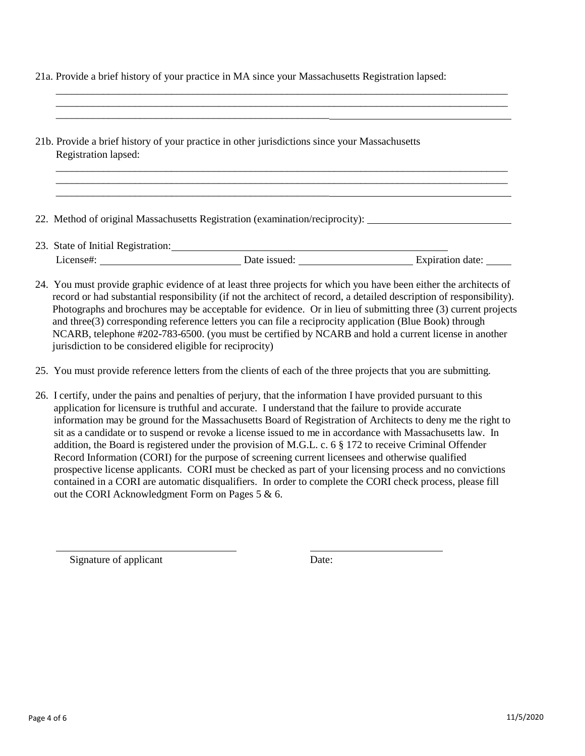21a. Provide a brief history of your practice in MA since your Massachusetts Registration lapsed:

\_\_\_\_\_\_\_\_\_\_\_\_\_\_\_\_\_\_\_\_\_\_\_\_\_\_\_\_\_\_\_\_\_\_\_\_\_\_\_\_\_\_\_\_\_\_\_\_\_\_\_\_\_\_\_\_\_\_\_\_\_\_\_\_\_\_\_\_\_\_\_\_\_\_\_\_\_\_\_\_\_\_\_\_\_\_ \_\_\_\_\_\_\_\_\_\_\_\_\_\_\_\_\_\_\_\_\_\_\_\_\_\_\_\_\_\_\_\_\_\_\_\_\_\_\_\_\_\_\_\_\_\_\_\_\_\_\_\_\_\_\_\_\_\_\_\_\_\_\_\_\_\_\_\_\_\_\_\_\_\_\_\_\_\_\_\_\_\_\_\_\_\_

\_\_\_\_\_\_\_\_\_\_\_\_\_\_\_\_\_\_\_\_\_\_\_\_\_\_\_\_\_\_\_\_\_\_\_\_\_\_\_\_\_\_\_\_\_\_\_\_\_\_\_\_\_\_\_\_\_\_\_\_\_\_\_\_\_\_\_\_\_\_\_\_\_\_\_\_\_\_\_\_\_\_\_\_\_\_ \_\_\_\_\_\_\_\_\_\_\_\_\_\_\_\_\_\_\_\_\_\_\_\_\_\_\_\_\_\_\_\_\_\_\_\_\_\_\_\_\_\_\_\_\_\_\_\_\_\_\_\_\_\_\_\_\_\_\_\_\_\_\_\_\_\_\_\_\_\_\_\_\_\_\_\_\_\_\_\_\_\_\_\_\_\_

- 21b. Provide a brief history of your practice in other jurisdictions since your Massachusetts Registration lapsed:
- 22. Method of original Massachusetts Registration (examination/reciprocity):

\_\_\_\_\_\_\_\_\_\_\_\_\_\_\_\_\_\_\_\_\_\_\_\_\_\_\_\_\_\_\_\_\_\_\_\_\_\_\_\_\_\_\_\_\_\_\_\_\_\_\_\_

\_\_\_\_\_\_\_\_\_\_\_\_\_\_\_\_\_\_\_\_\_\_\_\_\_\_\_\_\_\_\_\_\_\_\_\_\_\_\_\_\_\_\_\_\_\_\_\_\_\_\_\_

- 23. State of Initial Registration: License#: Date issued: Expiration date:
- 24. You must provide graphic evidence of at least three projects for which you have been either the architects of record or had substantial responsibility (if not the architect of record, a detailed description of responsibility). Photographs and brochures may be acceptable for evidence. Or in lieu of submitting three (3) current projects and three(3) corresponding reference letters you can file a reciprocity application (Blue Book) through NCARB, telephone #202-783-6500. (you must be certified by NCARB and hold a current license in another jurisdiction to be considered eligible for reciprocity)
- 25. You must provide reference letters from the clients of each of the three projects that you are submitting.
- 26. I certify, under the pains and penalties of perjury, that the information I have provided pursuant to this application for licensure is truthful and accurate. I understand that the failure to provide accurate information may be ground for the Massachusetts Board of Registration of Architects to deny me the right to sit as a candidate or to suspend or revoke a license issued to me in accordance with Massachusetts law. In addition, the Board is registered under the provision of M.G.L. c. 6 § 172 to receive Criminal Offender Record Information (CORI) for the purpose of screening current licensees and otherwise qualified prospective license applicants. CORI must be checked as part of your licensing process and no convictions contained in a CORI are automatic disqualifiers. In order to complete the CORI check process, please fill out the CORI Acknowledgment Form on Pages 5 & 6.

Signature of applicant Date: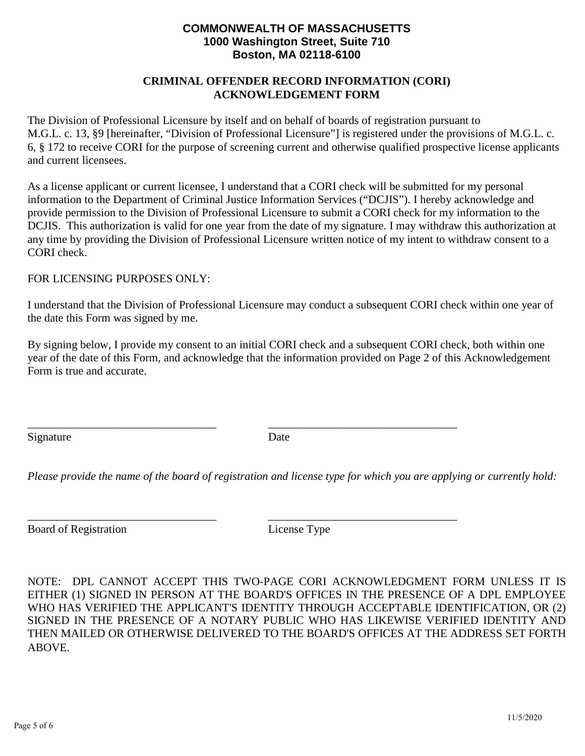#### **COMMONWEALTH OF MASSACHUSETTS 1000 Washington Street, Suite 710 Boston, MA 02118-6100**

#### **CRIMINAL OFFENDER RECORD INFORMATION (CORI) ACKNOWLEDGEMENT FORM**

The Division of Professional Licensure by itself and on behalf of boards of registration pursuant to M.G.L. c. 13, §9 [hereinafter, "Division of Professional Licensure"] is registered under the provisions of M.G.L. c. 6, § 172 to receive CORI for the purpose of screening current and otherwise qualified prospective license applicants and current licensees.

As a license applicant or current licensee, I understand that a CORI check will be submitted for my personal information to the Department of Criminal Justice Information Services ("DCJIS"). I hereby acknowledge and provide permission to the Division of Professional Licensure to submit a CORI check for my information to the DCJIS. This authorization is valid for one year from the date of my signature. I may withdraw this authorization at any time by providing the Division of Professional Licensure written notice of my intent to withdraw consent to a CORI check.

#### FOR LICENSING PURPOSES ONLY:

I understand that the Division of Professional Licensure may conduct a subsequent CORI check within one year of the date this Form was signed by me.

By signing below, I provide my consent to an initial CORI check and a subsequent CORI check, both within one year of the date of this Form, and acknowledge that the information provided on Page 2 of this Acknowledgement Form is true and accurate.

\_\_\_\_\_\_\_\_\_\_\_\_\_\_\_\_\_\_\_\_\_\_\_\_\_\_\_\_\_\_\_\_\_ \_\_\_\_\_\_\_\_\_\_\_\_\_\_\_\_\_\_\_\_\_\_\_\_\_\_\_\_\_\_\_\_\_ Signature Date

*Please provide the name of the board of registration and license type for which you are applying or currently hold:* 

\_\_\_\_\_\_\_\_\_\_\_\_\_\_\_\_\_\_\_\_\_\_\_\_\_\_\_\_\_\_\_\_\_ \_\_\_\_\_\_\_\_\_\_\_\_\_\_\_\_\_\_\_\_\_\_\_\_\_\_\_\_\_\_\_\_\_ Board of Registration License Type

NOTE: DPL CANNOT ACCEPT THIS TWO-PAGE CORI ACKNOWLEDGMENT FORM UNLESS IT IS EITHER (1) SIGNED IN PERSON AT THE BOARD'S OFFICES IN THE PRESENCE OF A DPL EMPLOYEE WHO HAS VERIFIED THE APPLICANT'S IDENTITY THROUGH ACCEPTABLE IDENTIFICATION, OR (2) SIGNED IN THE PRESENCE OF A NOTARY PUBLIC WHO HAS LIKEWISE VERIFIED IDENTITY AND THEN MAILED OR OTHERWISE DELIVERED TO THE BOARD'S OFFICES AT THE ADDRESS SET FORTH ABOVE.